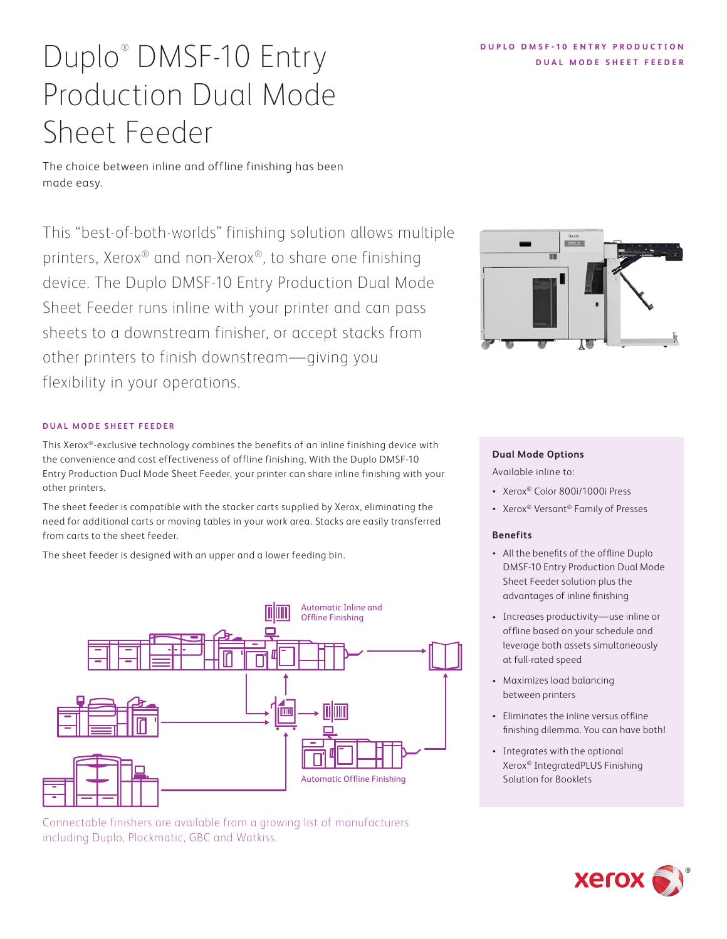# **Xerox**

### **DUPLO DMSF-10 ENTRY PRODUCTION DUAL MODE SHEET FEEDER**

# Duplo® DMSF-10 Entry Production Dual Mode Sheet Feeder

The choice between inline and offline finishing has been made easy.

This "best-of-both-worlds" finishing solution allows multiple printers, Xerox® and non-Xerox®, to share one finishing device. The Duplo DMSF-10 Entry Production Dual Mode Sheet Feeder runs inline with your printer and can pass sheets to a downstream finisher, or accept stacks from other printers to finish downstream—giving you flexibility in your operations.

### **DUAL MODE SHEET FEEDER**

This Xerox®-exclusive technology combines the benefits of an inline finishing device with the convenience and cost effectiveness of offline finishing. With the Duplo DMSF-10 Entry Production Dual Mode Sheet Feeder, your printer can share inline finishing with your other printers.

The sheet feeder is compatible with the stacker carts supplied by Xerox, eliminating the need for additional carts or moving tables in your work area. Stacks are easily transferred from carts to the sheet feeder.

The sheet feeder is designed with an upper and a lower feeding bin.



Connectable finishers are available from a growing list of manufacturers including Duplo, Plockmatic, GBC and Watkiss.



#### **Dual Mode Options**

Available inline to:

- Xerox® Color 800i/1000i Press
- Xerox® Versant® Family of Presses

#### **Benefits**

- All the benefits of the offline Duplo DMSF-10 Entry Production Dual Mode Sheet Feeder solution plus the advantages of inline finishing
- Increases productivity—use inline or offline based on your schedule and leverage both assets simultaneously at full-rated speed
- Maximizes load balancing between printers
- Eliminates the inline versus offline finishing dilemma. You can have both!
- Integrates with the optional Xerox® IntegratedPLUS Finishing Solution for Booklets